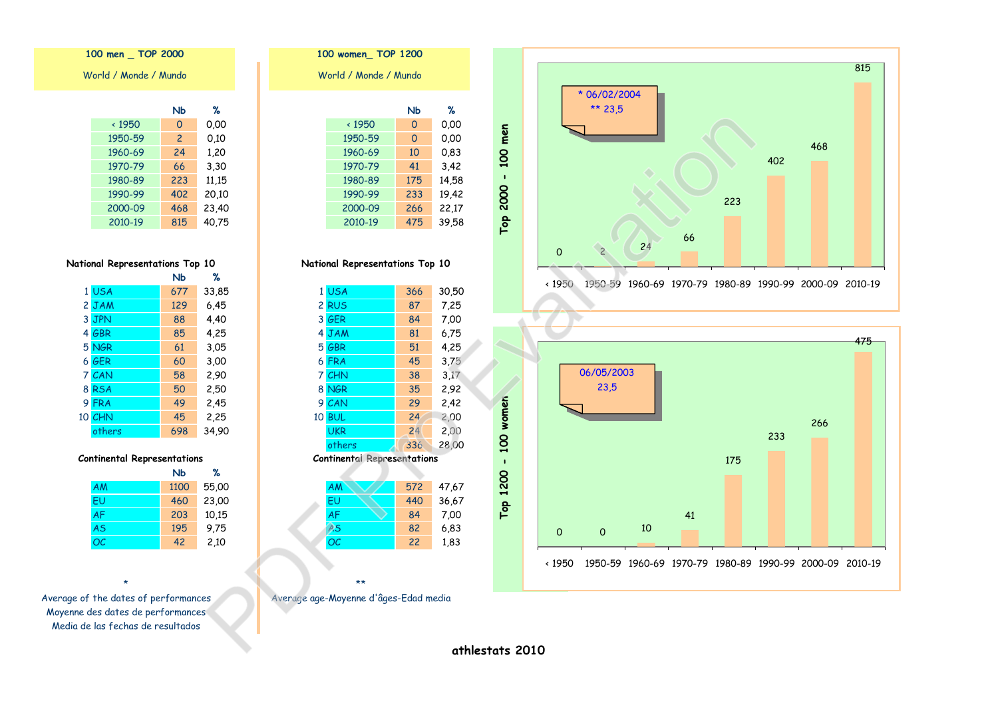|          | * 06/02/2004<br>** 23,5 |    |    |     |     | 468 | 815 |
|----------|-------------------------|----|----|-----|-----|-----|-----|
|          |                         |    |    | 223 | 402 |     |     |
| $\Omega$ | $\overline{c}$          | 24 | 66 |     |     |     |     |



100 women\_TOP 1200 World / Monde / Mundo  $%$ **N<sub>b</sub>**  $\times 1950$  $\overline{0}$  $0.00$ 1950-59  $\overline{0}$  $0,00$ 1960-69 10 0,83 1970-79 41  $3,42$ 1980-89 175 14,58 1990-99 233 19,42 2000-09 266 22,17 2010-19 475 39,58

#### National Representations Top 10

| 1 USA                              | 366 | 30,50 |
|------------------------------------|-----|-------|
| 2 RUS                              | 87  | 7,25  |
| 3 GER                              | 84  | 7,00  |
| 4 JAM                              | 81  | 6.75  |
| 5 GBR                              | 51  | 4,25  |
| 6 FRA                              | 45  | 3,75  |
| 7 CHN                              | 38  | 3.17  |
| 8 NGR                              | 35  | 2,92  |
| 9 CAN                              | 29  | 2,42  |
| <b>10 BUL</b>                      | 24  | 2,00  |
| <b>UKR</b>                         | 24  | 2,00  |
| others                             | 336 | 28,00 |
| <b>Continental Representations</b> |     |       |
|                                    |     |       |
| AM                                 | 572 | 47,67 |
| ΕU                                 | 440 | 36,67 |
| AF                                 | 84  | 7,00  |
| A <sub>S</sub>                     | 82  | 6,83  |
| ОC                                 | 22  | 1,83  |
|                                    |     |       |
|                                    |     |       |

# $**$

Average age-Moyenne d'âges-Edad media

100 men \_ TOP 2000 World / Monde / Mundo

|               | NЬ             | ℅     |
|---------------|----------------|-------|
| $\times$ 1950 | 0              | 0.00  |
| 1950-59       | $\overline{c}$ | 0.10  |
| 1960-69       | 24             | 1,20  |
| 1970-79       | 66             | 3,30  |
| 1980-89       | 223            | 11,15 |
| 1990-99       | 402            | 20,10 |
| 2000-09       | 468            | 23,40 |
| 2010-19       | 815            | 40,75 |

# National Representations Top 10

|        | NЬ  | %     |
|--------|-----|-------|
| 1 USA  | 677 | 33,85 |
| 2 JAM  | 129 | 6.45  |
| 3 JPN  | 88  | 4,40  |
| 4 GBR  | 85  | 4,25  |
| 5 NGR  | 61  | 3,05  |
| 6 GER  | 60  | 3,00  |
| 7 CAN  | 58  | 2,90  |
| 8 RSA  | 50  | 2,50  |
| 9 FRA  | 49  | 2,45  |
| 10 CHN | 45  | 2,25  |
| others | 698 | 34,90 |

#### **Continental Representations**

|           | NЬ   | ℁     |
|-----------|------|-------|
| AM        | 1100 | 55,00 |
| <b>FU</b> | 460  | 23,00 |
| <b>AF</b> | 203  | 10,15 |
| <b>AS</b> | 195  | 9.75  |
| ОC        | 42   | 2,10  |

Average of the dates of performances Moyenne des dates de performances Media de las fechas de resultados

athlestats 2010

Top 2000 - 100 men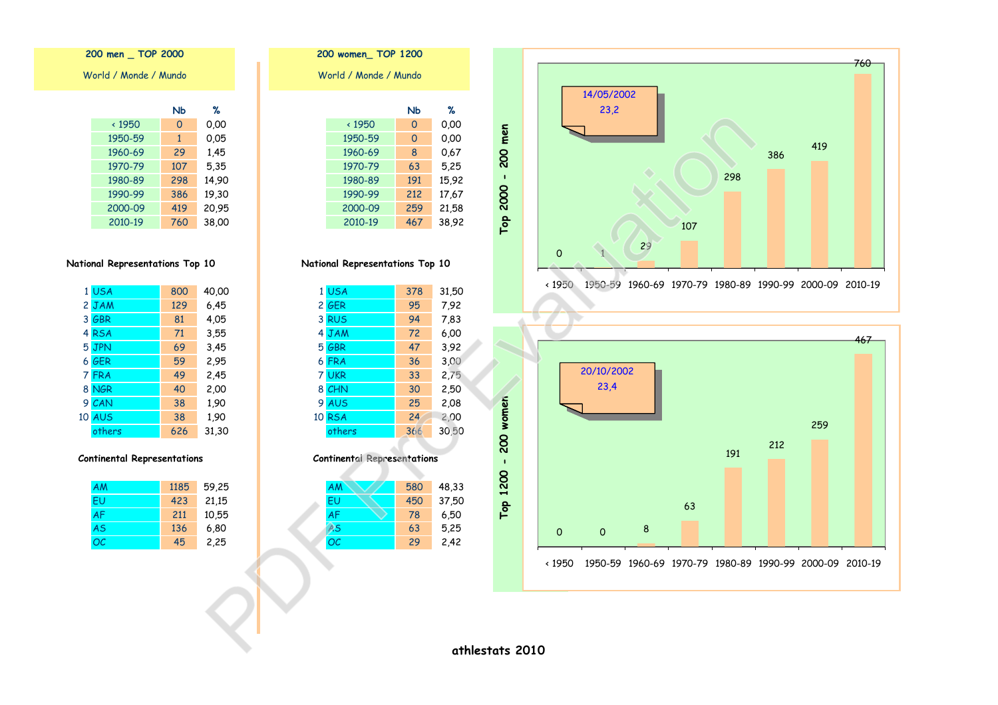200 men \_ TOP 2000 World / Monde / Mundo

|               | NЬ  | ℅     |
|---------------|-----|-------|
| $\times$ 1950 | 0   | 0.00  |
| 1950-59       | 1   | 0,05  |
| 1960-69       | 29  | 1,45  |
| 1970-79       | 107 | 5,35  |
| 1980-89       | 298 | 14,90 |
| 1990-99       | 386 | 19,30 |
| 2000-09       | 419 | 20,95 |
| 2010-19       | 760 | 38,00 |

# National Representations Top 10

|   | 1 USA         | 800 | 40,00 |
|---|---------------|-----|-------|
|   | 2 JAM         | 129 | 6,45  |
|   | 3 GBR         | 81  | 4,05  |
|   | 4 RSA         | 71  | 3,55  |
|   | 5 JPN         | 69  | 3,45  |
|   | 6 GER         | 59  | 2,95  |
|   | 7 FRA         | 49  | 2,45  |
|   | 8 NGR         | 40  | 2,00  |
| 9 | CAN           | 38  | 1,90  |
|   | <b>10 AUS</b> | 38  | 1,90  |
|   | others        | 626 | 31,30 |

#### **Continental Representations**

| AM        | 1185 | 59,25 |
|-----------|------|-------|
| FU        | 423  | 21,15 |
| <b>AF</b> | 211  | 10,55 |
| <b>AS</b> | 136  | 6,80  |
| OC        | 45   | 2,25  |

| World / Monde / Mundo<br>Nb<br>℅<br>$\times$ 1950<br>0.00<br>0<br>1950-59<br>0.00<br>0<br>1960-69<br>8<br>0.67<br>1970-79<br>63<br>5,25<br>1980-89<br>15,92<br>191<br>1990-99<br>212<br>17.67<br>2000-09<br>259<br>21,58 | 200 women TOP 1200 |     |       |
|--------------------------------------------------------------------------------------------------------------------------------------------------------------------------------------------------------------------------|--------------------|-----|-------|
|                                                                                                                                                                                                                          |                    |     |       |
|                                                                                                                                                                                                                          |                    |     |       |
|                                                                                                                                                                                                                          |                    |     |       |
|                                                                                                                                                                                                                          |                    |     |       |
|                                                                                                                                                                                                                          |                    |     |       |
|                                                                                                                                                                                                                          |                    |     |       |
|                                                                                                                                                                                                                          |                    |     |       |
|                                                                                                                                                                                                                          |                    |     |       |
|                                                                                                                                                                                                                          |                    |     |       |
|                                                                                                                                                                                                                          | 2010-19            | 467 | 38,92 |

# National Representations Top 10

|   | 1 USA         | 378 | 31,50 |
|---|---------------|-----|-------|
|   | 2 GER         | 95  | 7.92  |
|   | 3 RUS         | 94  | 7,83  |
|   | 4 JAM         | 72  | 6,00  |
|   | 5 GBR         | 47  | 3,92  |
|   | 6 FRA         | 36  | 3,00  |
|   | 7 UKR         | 33  | 2,75  |
|   | 8 CHN         | 30  | 2,50  |
| 9 | <b>AUS</b>    | 25  | 2,08  |
|   | <b>10 RSA</b> | 24  | 2,00  |
|   | others        | 366 | 30,50 |

#### **Continental Representations**

| AM        | 580 | 48,33 |
|-----------|-----|-------|
| EU        | 450 | 37,50 |
| <b>AF</b> | 78  | 6,50  |
| AS        | 63  | 5,25  |
| <b>OC</b> | 29  | 2,42  |
|           |     |       |



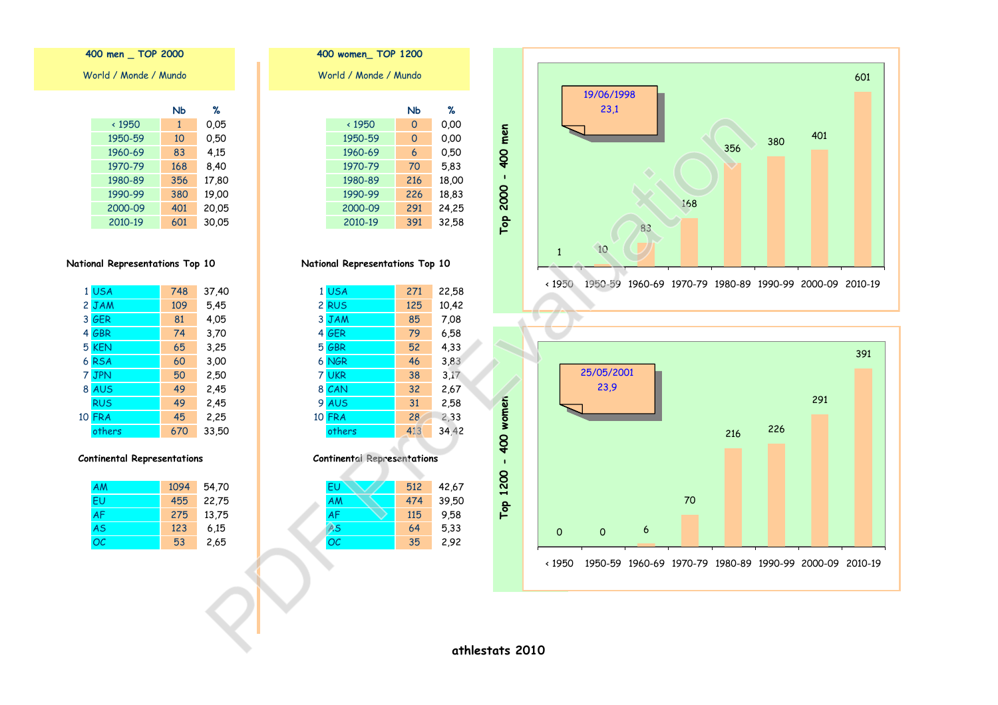400 men \_ TOP 2000 World / Monde / Mundo

| ℁     | NЬ           |               |
|-------|--------------|---------------|
| 0.05  | $\mathbf{1}$ | $\times$ 1950 |
| 0,50  | 10           | 1950-59       |
| 4,15  | 83           | 1960-69       |
| 8,40  | 168          | 1970-79       |
| 17,80 | 356          | 1980-89       |
| 19,00 | 380          | 1990-99       |
| 20,05 | 401          | 2000-09       |
| 30,05 | 601          | 2010-19       |

# National Representations Top 10

| 1 USA         | 748 | 37,40 |
|---------------|-----|-------|
| 2 JAM         | 109 | 5,45  |
| 3 GER         | 81  | 4,05  |
| 4 GBR         | 74  | 3,70  |
| 5 KEN         | 65  | 3,25  |
| 6 RSA         | 60  | 3,00  |
| 7 JPN         | 50  | 2,50  |
| 8 AUS         | 49  | 2,45  |
| <b>RUS</b>    | 49  | 2,45  |
| <b>10 FRA</b> | 45  | 2,25  |
| others        | 670 | 33,50 |

#### **Continental Representations**

| AM  | 1094 | 54,70 |
|-----|------|-------|
| FU  | 455  | 22,75 |
| AF  | 275  | 13,75 |
| AS  | 123  | 6.15  |
| OC. | 53   | 2,65  |

|  | TUU WUIIIBII IUI      | $1$ 600 |       |  |
|--|-----------------------|---------|-------|--|
|  | World / Monde / Mundo |         |       |  |
|  |                       |         |       |  |
|  |                       | Nb      | %     |  |
|  | $\times$ 1950         | 0       | 0.00  |  |
|  | 1950-59               | 0       | 0.00  |  |
|  | 1960-69               | 6       | 0.50  |  |
|  | 1970-79               | 70      | 5,83  |  |
|  | 1980-89               | 216     | 18,00 |  |
|  | 1990-99               | 226     | 18,83 |  |
|  | 2000-09               | 291     | 24,25 |  |
|  | 2010-19               | 391     | 32.58 |  |
|  |                       |         |       |  |

 $400$  waman  $T$ OD 1200

# National Representations Top 10

|    | 1 USA      | 271 | 22,58 |
|----|------------|-----|-------|
|    | 2 RUS      | 125 | 10,42 |
|    | 3 JAM      | 85  | 7,08  |
|    | 4 GER      | 79  | 6,58  |
|    | 5 GBR      | 52  | 4,33  |
|    | 6 NGR      | 46  | 3,83  |
|    | 7 UKR      | 38  | 3.17  |
|    | 8 CAN      | 32  | 2,67  |
| 9  | <b>AUS</b> | 31  | 2,58  |
| 10 | <b>FRA</b> | 28  | 2,33  |
|    | others     | 413 | 34,42 |

#### **Continental Representations**

| EU        | 512 | 42,67 |
|-----------|-----|-------|
| <b>AM</b> | 474 | 39,50 |
| <b>AF</b> | 115 | 9.58  |
| AS        | 64  | 5,33  |
| <b>OC</b> | 35  | 2,92  |
|           |     |       |



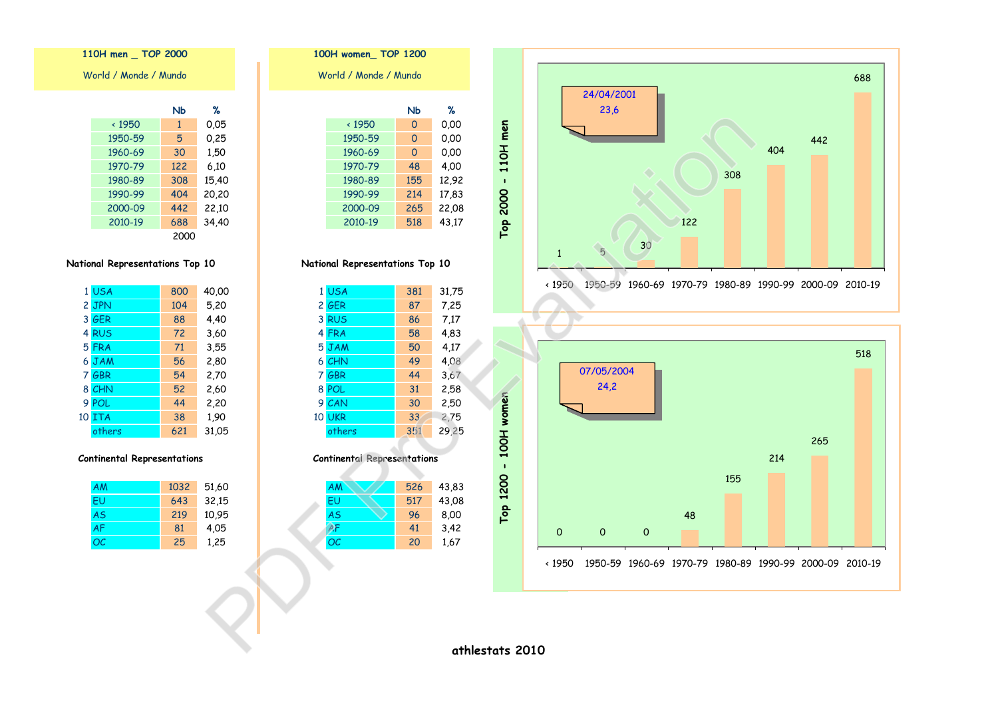| Vorld / Monde / Mundo |      |       |  |  |
|-----------------------|------|-------|--|--|
|                       | Nb   | ℀     |  |  |
| $\times$ 1950         | 1    | 0.05  |  |  |
| 1950-59               | 5    | 0.25  |  |  |
| 1960-69               | 30   | 1,50  |  |  |
| 1970-79               | 122  | 6.10  |  |  |
| 1980-89               | 308  | 15,40 |  |  |
| 1990-99               | 404  | 20,20 |  |  |
| 2000-09               | 442  | 22,10 |  |  |
| 2010-19               | 688  | 34,40 |  |  |
|                       | 2000 |       |  |  |

110H men \_ TOP 2000

# National Representations Top 10

| 1 USA         | 800 | 40,00 |
|---------------|-----|-------|
| 2 JPN         | 104 | 5,20  |
| 3 GER         | 88  | 4,40  |
| 4 RUS         | 72  | 3,60  |
| 5 FRA         | 71  | 3,55  |
| 6 JAM         | 56  | 2,80  |
| 7 GBR         | 54  | 2,70  |
| 8 CHN         | 52  | 2,60  |
| 9 POL         | 44  | 2,20  |
| <b>10 ITA</b> | 38  | 1,90  |
| others        | 621 | 31,05 |

#### **Continental Representations**

| <b>AM</b> | 1032 | 51,60 |
|-----------|------|-------|
| FU        | 643  | 32,15 |
| <b>AS</b> | 219  | 10,95 |
| <b>AF</b> | 81   | 4.05  |
| ОC        | 25   | 1,25  |

| 100H women TOP 1200 |                       |          |       |
|---------------------|-----------------------|----------|-------|
|                     | World / Monde / Mundo |          |       |
|                     |                       |          |       |
|                     |                       | Nb       | ℀     |
|                     | $\times$ 1950         | $\Omega$ | 0.00  |
|                     | 1950-59               | $\Omega$ | 0.00  |
|                     | 1960-69               | $\Omega$ | 0.00  |
|                     | 1970-79               | 48       | 4,00  |
|                     | 1980-89               | 155      | 12,92 |
|                     | 1990-99               | 214      | 17,83 |
|                     | 2000-09               | 265      | 22,08 |
|                     | 2010-19               | 518      | 43,17 |
|                     |                       |          |       |

# National Representations Top 10

|   | 1 USA         | 381 | 31,75 |
|---|---------------|-----|-------|
|   | 2 GER         | 87  | 7,25  |
|   | 3 RUS         | 86  | 7.17  |
|   | 4 FRA         | 58  | 4,83  |
|   | 5 JAM         | 50  | 4,17  |
|   | 6 CHN         | 49  | 4,08  |
|   | 7 GBR         | 44  | 3,67  |
|   | 8 POL         | 31  | 2,58  |
| 9 | CAN           | 30  | 2,50  |
|   | <b>10 UKR</b> | 33  | 2,75  |
|   | others        | 351 | 29,25 |

#### **Continental Representations**

| AM        | 526 | 43,83 |
|-----------|-----|-------|
| EU        | 517 | 43,08 |
| <b>AS</b> | 96  | 8,00  |
|           | 41  | 3,42  |
| <b>OC</b> | 20  | 1,67  |
|           |     |       |



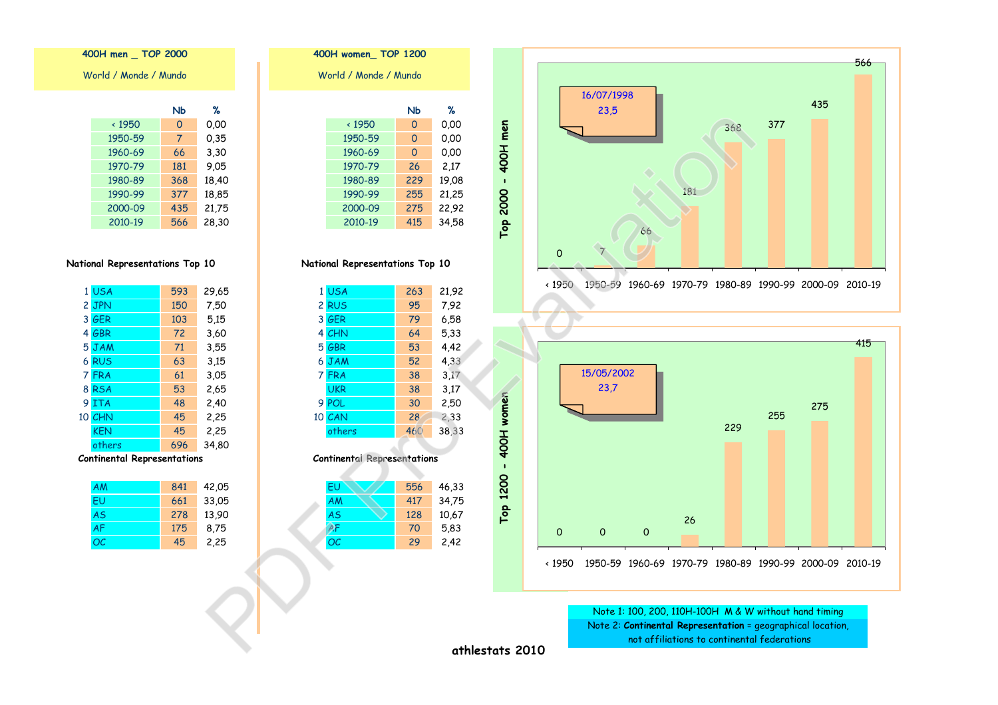| 400H men I OP 2000    |  |
|-----------------------|--|
| World / Monde / Mundo |  |

------

 $\sim$   $\sim$   $\sim$   $\sim$ 

|               | NЬ  | ℅     |
|---------------|-----|-------|
| $\times$ 1950 | 0   | 0.00  |
| 1950-59       | 7   | 0,35  |
| 1960-69       | 66  | 3,30  |
| 1970-79       | 181 | 9.05  |
| 1980-89       | 368 | 18,40 |
| 1990-99       | 377 | 18,85 |
| 2000-09       | 435 | 21,75 |
| 2010-19       | 566 | 28,30 |

# National Representations Top 10

| 1 USA      | 593 | 29,65 |
|------------|-----|-------|
| 2 JPN      | 150 | 7,50  |
| 3 GER      | 103 | 5,15  |
| 4 GBR      | 72  | 3,60  |
| 5 JAM      | 71  | 3,55  |
| 6 RUS      | 63  | 3,15  |
| 7 FRA      | 61  | 3,05  |
| 8 RSA      | 53  | 2,65  |
| 9 ITA      | 48  | 2,40  |
| 10 CHN     | 45  | 2,25  |
| <b>KEN</b> | 45  | 2,25  |
| others     | 696 | 34,80 |
|            |     |       |

#### **Continental Representations**

| AM        | 841 | 42,05 |
|-----------|-----|-------|
| FU        | 661 | 33,05 |
| <b>AS</b> | 278 | 13,90 |
| <b>AF</b> | 175 | 8,75  |
| OC.       | 45  | 2,25  |

| 400H women TOP 1200   |               |          |       |  |  |
|-----------------------|---------------|----------|-------|--|--|
| World / Monde / Mundo |               |          |       |  |  |
|                       |               |          |       |  |  |
|                       |               | Nb       | ℅     |  |  |
|                       | $\times$ 1950 | $\Omega$ | 0.00  |  |  |
|                       | 1950-59       | 0        | 0.00  |  |  |
|                       | 1960-69       | $\Omega$ | 0.00  |  |  |
|                       | 1970-79       | 26       | 2,17  |  |  |
|                       | 1980-89       | 229      | 19,08 |  |  |
|                       | 1990-99       | 255      | 21,25 |  |  |
|                       | 2000-09       | 275      | 22,92 |  |  |
|                       | 2010-19       | 415      | 34,58 |  |  |
|                       |               |          |       |  |  |
|                       |               |          |       |  |  |

# National Representations Top 10

| 1 USA      | 263 | 21,92 |
|------------|-----|-------|
| 2 RUS      | 95  | 7.92  |
| 3 GER      | 79  | 6,58  |
| 4 CHN      | 64  | 5,33  |
| 5 GBR      | 53  | 4,42  |
| 6 JAM      | 52  | 4,33  |
| 7 FRA      | 38  | 3.17  |
| <b>UKR</b> | 38  | 3.17  |
| 9 POL      | 30  | 2,50  |
| 10 CAN     | 28  | 2,33  |
| others     | 460 | 38,33 |
|            |     |       |

#### **Continental Representations**

| EU        | 556 | 46,33 |
|-----------|-----|-------|
| AM        | 417 | 34,75 |
| <b>AS</b> | 128 | 10,67 |
| ۹F        | 70  | 5,83  |
| OC        | 29  | 2,42  |
|           |     |       |





Note 1: 100, 200, 110H-100H M & W without hand timing Note 2: Continental Representation = geographical location, not affiliations to continental federations